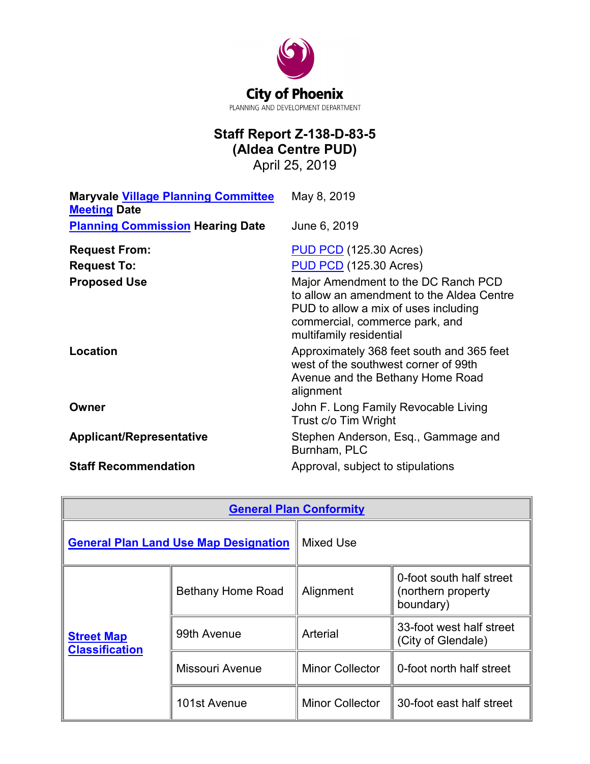

# **Staff Report Z-138-D-83-5 (Aldea Centre PUD)**

April 25, 2019

| <b>Maryvale Village Planning Committee</b><br><b>Meeting Date</b> | May 8, 2019                                                                                                                                                                           |
|-------------------------------------------------------------------|---------------------------------------------------------------------------------------------------------------------------------------------------------------------------------------|
| <b>Planning Commission Hearing Date</b>                           | June 6, 2019                                                                                                                                                                          |
| <b>Request From:</b>                                              | <b>PUD PCD</b> (125.30 Acres)                                                                                                                                                         |
| <b>Request To:</b>                                                | <b>PUD PCD</b> (125.30 Acres)                                                                                                                                                         |
| <b>Proposed Use</b>                                               | Major Amendment to the DC Ranch PCD<br>to allow an amendment to the Aldea Centre<br>PUD to allow a mix of uses including<br>commercial, commerce park, and<br>multifamily residential |
| Location                                                          | Approximately 368 feet south and 365 feet<br>west of the southwest corner of 99th<br>Avenue and the Bethany Home Road<br>alignment                                                    |
| Owner                                                             | John F. Long Family Revocable Living<br>Trust c/o Tim Wright                                                                                                                          |
| <b>Applicant/Representative</b>                                   | Stephen Anderson, Esq., Gammage and<br>Burnham, PLC                                                                                                                                   |
| <b>Staff Recommendation</b>                                       | Approval, subject to stipulations                                                                                                                                                     |

| <b>General Plan Conformity</b>               |                          |                        |                                                             |  |
|----------------------------------------------|--------------------------|------------------------|-------------------------------------------------------------|--|
| <b>General Plan Land Use Map Designation</b> |                          | Mixed Use              |                                                             |  |
| <b>Street Map</b><br><b>Classification</b>   | <b>Bethany Home Road</b> | Alignment              | 0-foot south half street<br>(northern property<br>boundary) |  |
|                                              | 99th Avenue              | Arterial               | 33-foot west half street<br>(City of Glendale)              |  |
|                                              | Missouri Avenue          | <b>Minor Collector</b> | 0-foot north half street                                    |  |
|                                              | 101st Avenue             | <b>Minor Collector</b> | 30-foot east half street                                    |  |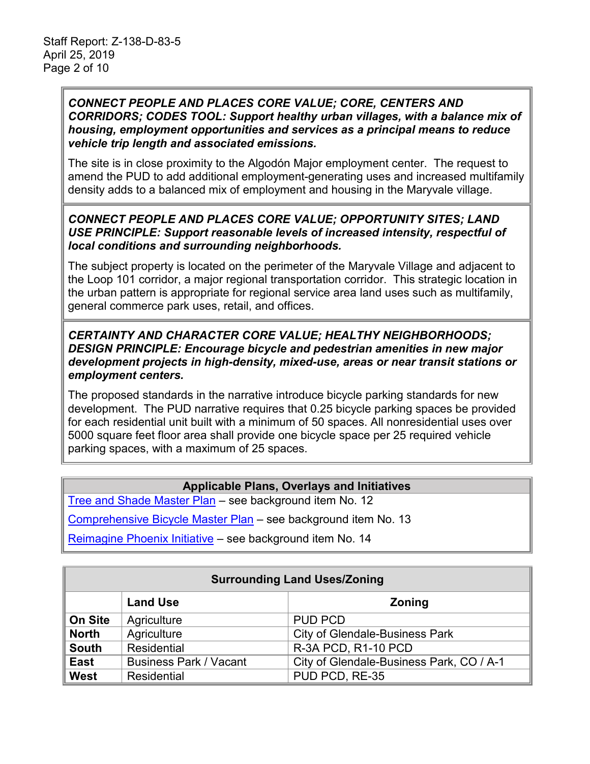### *CONNECT PEOPLE AND PLACES CORE VALUE; CORE, CENTERS AND CORRIDORS; CODES TOOL: Support healthy urban villages, with a balance mix of housing, employment opportunities and services as a principal means to reduce vehicle trip length and associated emissions.*

The site is in close proximity to the Algodón Major employment center. The request to amend the PUD to add additional employment-generating uses and increased multifamily density adds to a balanced mix of employment and housing in the Maryvale village.

### *CONNECT PEOPLE AND PLACES CORE VALUE; OPPORTUNITY SITES; LAND USE PRINCIPLE: Support reasonable levels of increased intensity, respectful of local conditions and surrounding neighborhoods.*

The subject property is located on the perimeter of the Maryvale Village and adjacent to the Loop 101 corridor, a major regional transportation corridor. This strategic location in the urban pattern is appropriate for regional service area land uses such as multifamily, general commerce park uses, retail, and offices.

### *CERTAINTY AND CHARACTER CORE VALUE; HEALTHY NEIGHBORHOODS; DESIGN PRINCIPLE: Encourage bicycle and pedestrian amenities in new major development projects in high-density, mixed-use, areas or near transit stations or employment centers.*

The proposed standards in the narrative introduce bicycle parking standards for new development. The PUD narrative requires that 0.25 bicycle parking spaces be provided for each residential unit built with a minimum of 50 spaces. All nonresidential uses over 5000 square feet floor area shall provide one bicycle space per 25 required vehicle parking spaces, with a maximum of 25 spaces.

# **Applicable Plans, Overlays and Initiatives**

[Tree and Shade Master Plan](https://www.phoenix.gov/parkssite/Documents/PKS_Forestry/PKS_Forestry_Tree_and_Shade_Master_Plan.pdf) – see background item No. 12

[Comprehensive Bicycle Master Plan](https://www.phoenix.gov/streetssite/Documents/2014bikePHX_DraftFinalReport_web.pdf) – see background item No. 13

[Reimagine Phoenix Initiative](https://www.phoenix.gov/publicworks/reimagine) - see background item No. 14

| <b>Surrounding Land Uses/Zoning</b> |                               |                                          |
|-------------------------------------|-------------------------------|------------------------------------------|
|                                     | <b>Land Use</b>               | <b>Zoning</b>                            |
| On Site                             | Agriculture                   | <b>PUD PCD</b>                           |
| <b>North</b>                        | Agriculture                   | <b>City of Glendale-Business Park</b>    |
| <b>South</b>                        | Residential                   | R-3A PCD, R1-10 PCD                      |
| <b>East</b>                         | <b>Business Park / Vacant</b> | City of Glendale-Business Park, CO / A-1 |
| West                                | <b>Residential</b>            | PUD PCD, RE-35                           |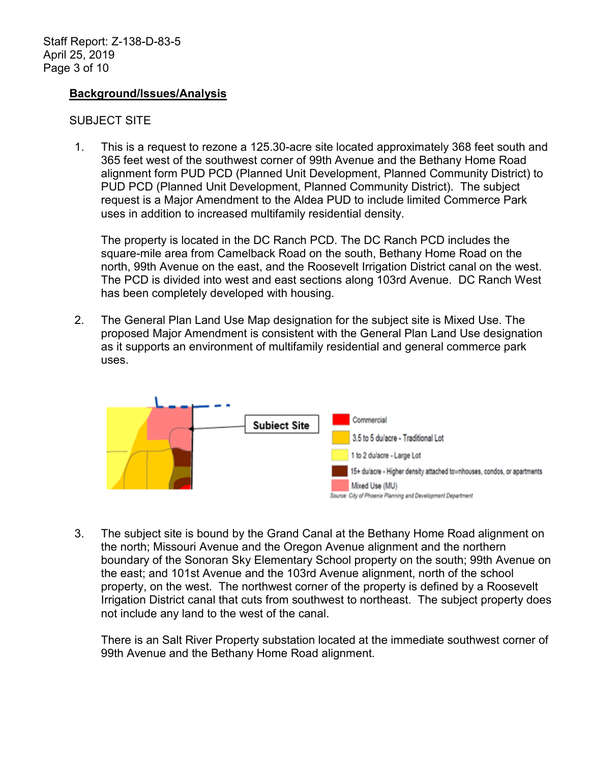#### **Background/Issues/Analysis**

#### SUBJECT SITE

1. This is a request to rezone a 125.30-acre site located approximately 368 feet south and 365 feet west of the southwest corner of 99th Avenue and the Bethany Home Road alignment form PUD PCD (Planned Unit Development, Planned Community District) to PUD PCD (Planned Unit Development, Planned Community District). The subject request is a Major Amendment to the Aldea PUD to include limited Commerce Park uses in addition to increased multifamily residential density.

The property is located in the DC Ranch PCD. The DC Ranch PCD includes the square-mile area from Camelback Road on the south, Bethany Home Road on the north, 99th Avenue on the east, and the Roosevelt Irrigation District canal on the west. The PCD is divided into west and east sections along 103rd Avenue. DC Ranch West has been completely developed with housing.

2. The General Plan Land Use Map designation for the subject site is Mixed Use. The proposed Major Amendment is consistent with the General Plan Land Use designation as it supports an environment of multifamily residential and general commerce park uses.



3. The subject site is bound by the Grand Canal at the Bethany Home Road alignment on the north; Missouri Avenue and the Oregon Avenue alignment and the northern boundary of the Sonoran Sky Elementary School property on the south; 99th Avenue on the east; and 101st Avenue and the 103rd Avenue alignment, north of the school property, on the west. The northwest corner of the property is defined by a Roosevelt Irrigation District canal that cuts from southwest to northeast. The subject property does not include any land to the west of the canal.

There is an Salt River Property substation located at the immediate southwest corner of 99th Avenue and the Bethany Home Road alignment.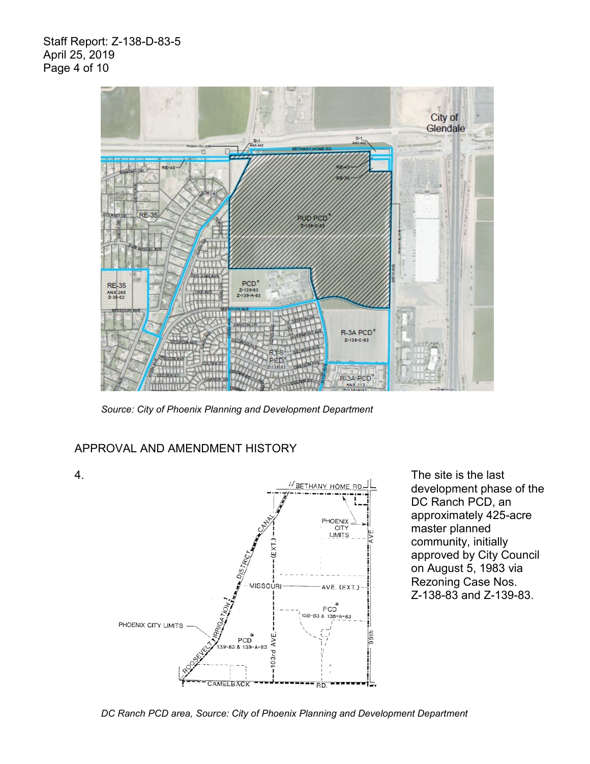Staff Report: Z-138-D-83-5 April 25, 2019 Page 4 of 10



*Source: City of Phoenix Planning and Development Department*

### APPROVAL AND AMENDMENT HISTORY



development phase of the DC Ranch PCD, an approximately 425-acre master planned community, initially approved by City Council on August 5, 1983 via Rezoning Case Nos. Z-138-83 and Z-139-83.

*DC Ranch PCD area, Source: City of Phoenix Planning and Development Department*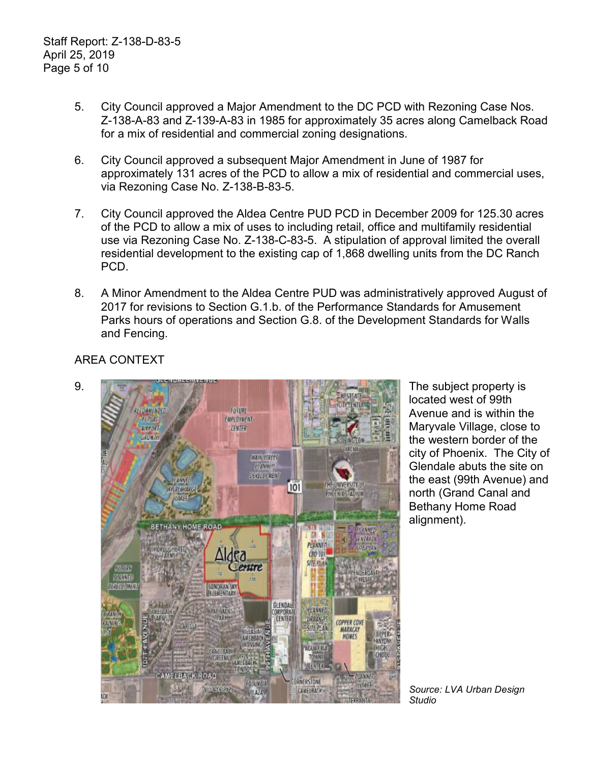- 5. City Council approved a Major Amendment to the DC PCD with Rezoning Case Nos. Z-138-A-83 and Z-139-A-83 in 1985 for approximately 35 acres along Camelback Road for a mix of residential and commercial zoning designations.
- 6. City Council approved a subsequent Major Amendment in June of 1987 for approximately 131 acres of the PCD to allow a mix of residential and commercial uses, via Rezoning Case No. Z-138-B-83-5.
- 7. City Council approved the Aldea Centre PUD PCD in December 2009 for 125.30 acres of the PCD to allow a mix of uses to including retail, office and multifamily residential use via Rezoning Case No. Z-138-C-83-5. A stipulation of approval limited the overall residential development to the existing cap of 1,868 dwelling units from the DC Ranch PCD.
- 8. A Minor Amendment to the Aldea Centre PUD was administratively approved August of 2017 for revisions to Section G.1.b. of the Performance Standards for Amusement Parks hours of operations and Section G.8. of the Development Standards for Walls and Fencing.

AREA CONTEXT



located west of 99th Avenue and is within the Maryvale Village, close to the western border of the city of Phoenix. The City of Glendale abuts the site on the east (99th Avenue) and north (Grand Canal and Bethany Home Road alignment).

*Source: LVA Urban Design Studio*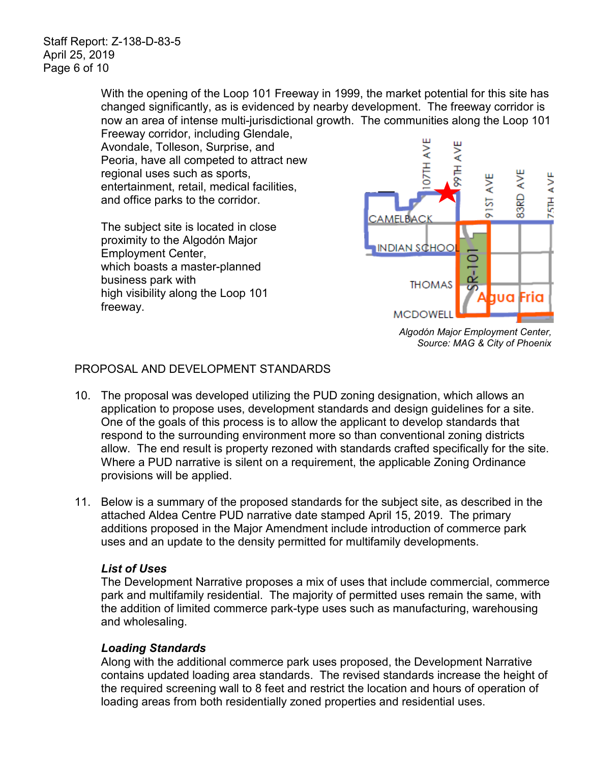Staff Report: Z-138-D-83-5 April 25, 2019 Page 6 of 10

> With the opening of the Loop 101 Freeway in 1999, the market potential for this site has changed significantly, as is evidenced by nearby development. The freeway corridor is now an area of intense multi-jurisdictional growth. The communities along the Loop 101 Freeway corridor, including Glendale,

Avondale, Tolleson, Surprise, and Peoria, have all competed to attract new regional uses such as sports, entertainment, retail, medical facilities, and office parks to the corridor.

The subject site is located in close proximity to the Algodón Major Employment Center, which boasts a master-planned business park with high visibility along the Loop 101 freeway.



*Algodón Major Employment Center, Source: MAG & City of Phoenix*

# PROPOSAL AND DEVELOPMENT STANDARDS

- 10. The proposal was developed utilizing the PUD zoning designation, which allows an application to propose uses, development standards and design guidelines for a site. One of the goals of this process is to allow the applicant to develop standards that respond to the surrounding environment more so than conventional zoning districts allow. The end result is property rezoned with standards crafted specifically for the site. Where a PUD narrative is silent on a requirement, the applicable Zoning Ordinance provisions will be applied.
- 11. Below is a summary of the proposed standards for the subject site, as described in the attached Aldea Centre PUD narrative date stamped April 15, 2019. The primary additions proposed in the Major Amendment include introduction of commerce park uses and an update to the density permitted for multifamily developments.

# *List of Uses*

The Development Narrative proposes a mix of uses that include commercial, commerce park and multifamily residential. The majority of permitted uses remain the same, with the addition of limited commerce park-type uses such as manufacturing, warehousing and wholesaling.

# *Loading Standards*

Along with the additional commerce park uses proposed, the Development Narrative contains updated loading area standards. The revised standards increase the height of the required screening wall to 8 feet and restrict the location and hours of operation of loading areas from both residentially zoned properties and residential uses.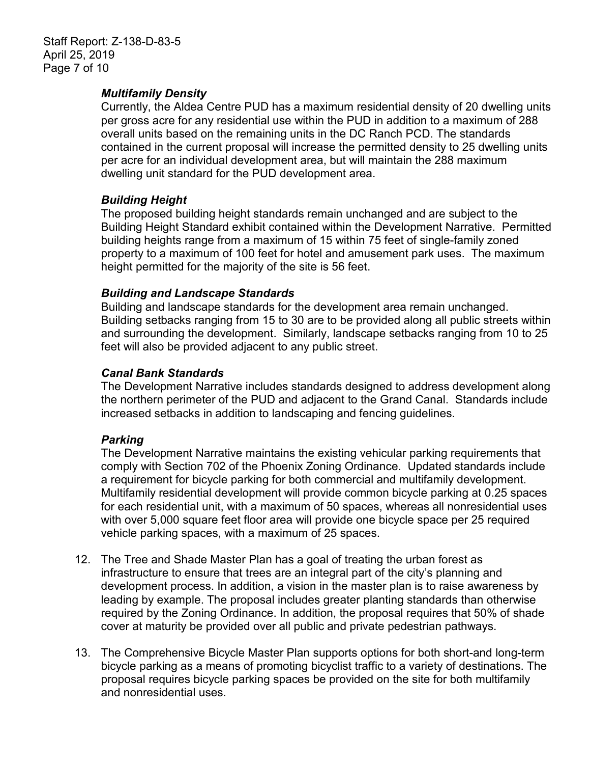### *Multifamily Density*

Currently, the Aldea Centre PUD has a maximum residential density of 20 dwelling units per gross acre for any residential use within the PUD in addition to a maximum of 288 overall units based on the remaining units in the DC Ranch PCD. The standards contained in the current proposal will increase the permitted density to 25 dwelling units per acre for an individual development area, but will maintain the 288 maximum dwelling unit standard for the PUD development area.

### *Building Height*

The proposed building height standards remain unchanged and are subject to the Building Height Standard exhibit contained within the Development Narrative. Permitted building heights range from a maximum of 15 within 75 feet of single-family zoned property to a maximum of 100 feet for hotel and amusement park uses. The maximum height permitted for the majority of the site is 56 feet.

### *Building and Landscape Standards*

Building and landscape standards for the development area remain unchanged. Building setbacks ranging from 15 to 30 are to be provided along all public streets within and surrounding the development. Similarly, landscape setbacks ranging from 10 to 25 feet will also be provided adjacent to any public street.

### *Canal Bank Standards*

The Development Narrative includes standards designed to address development along the northern perimeter of the PUD and adjacent to the Grand Canal. Standards include increased setbacks in addition to landscaping and fencing guidelines.

# *Parking*

The Development Narrative maintains the existing vehicular parking requirements that comply with Section 702 of the Phoenix Zoning Ordinance. Updated standards include a requirement for bicycle parking for both commercial and multifamily development. Multifamily residential development will provide common bicycle parking at 0.25 spaces for each residential unit, with a maximum of 50 spaces, whereas all nonresidential uses with over 5,000 square feet floor area will provide one bicycle space per 25 required vehicle parking spaces, with a maximum of 25 spaces.

- 12. The Tree and Shade Master Plan has a goal of treating the urban forest as infrastructure to ensure that trees are an integral part of the city's planning and development process. In addition, a vision in the master plan is to raise awareness by leading by example. The proposal includes greater planting standards than otherwise required by the Zoning Ordinance. In addition, the proposal requires that 50% of shade cover at maturity be provided over all public and private pedestrian pathways.
- 13. The Comprehensive Bicycle Master Plan supports options for both short-and long-term bicycle parking as a means of promoting bicyclist traffic to a variety of destinations. The proposal requires bicycle parking spaces be provided on the site for both multifamily and nonresidential uses.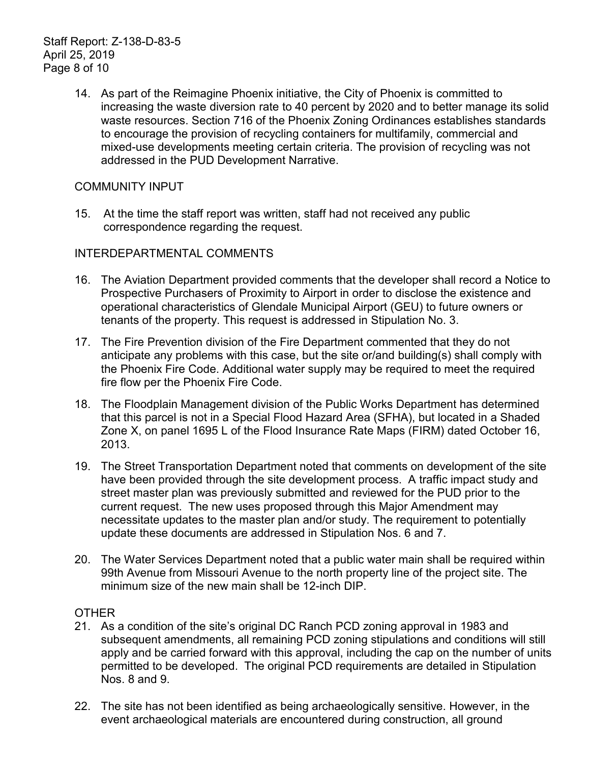14. As part of the Reimagine Phoenix initiative, the City of Phoenix is committed to increasing the waste diversion rate to 40 percent by 2020 and to better manage its solid waste resources. Section 716 of the Phoenix Zoning Ordinances establishes standards to encourage the provision of recycling containers for multifamily, commercial and mixed-use developments meeting certain criteria. The provision of recycling was not addressed in the PUD Development Narrative.

### COMMUNITY INPUT

15. At the time the staff report was written, staff had not received any public correspondence regarding the request.

### INTERDEPARTMENTAL COMMENTS

- 16. The Aviation Department provided comments that the developer shall record a Notice to Prospective Purchasers of Proximity to Airport in order to disclose the existence and operational characteristics of Glendale Municipal Airport (GEU) to future owners or tenants of the property. This request is addressed in Stipulation No. 3.
- 17. The Fire Prevention division of the Fire Department commented that they do not anticipate any problems with this case, but the site or/and building(s) shall comply with the Phoenix Fire Code. Additional water supply may be required to meet the required fire flow per the Phoenix Fire Code.
- 18. The Floodplain Management division of the Public Works Department has determined that this parcel is not in a Special Flood Hazard Area (SFHA), but located in a Shaded Zone X, on panel 1695 L of the Flood Insurance Rate Maps (FIRM) dated October 16, 2013.
- 19. The Street Transportation Department noted that comments on development of the site have been provided through the site development process. A traffic impact study and street master plan was previously submitted and reviewed for the PUD prior to the current request. The new uses proposed through this Major Amendment may necessitate updates to the master plan and/or study. The requirement to potentially update these documents are addressed in Stipulation Nos. 6 and 7.
- 20. The Water Services Department noted that a public water main shall be required within 99th Avenue from Missouri Avenue to the north property line of the project site. The minimum size of the new main shall be 12-inch DIP.

### **OTHER**

- 21. As a condition of the site's original DC Ranch PCD zoning approval in 1983 and subsequent amendments, all remaining PCD zoning stipulations and conditions will still apply and be carried forward with this approval, including the cap on the number of units permitted to be developed. The original PCD requirements are detailed in Stipulation Nos. 8 and 9.
- 22. The site has not been identified as being archaeologically sensitive. However, in the event archaeological materials are encountered during construction, all ground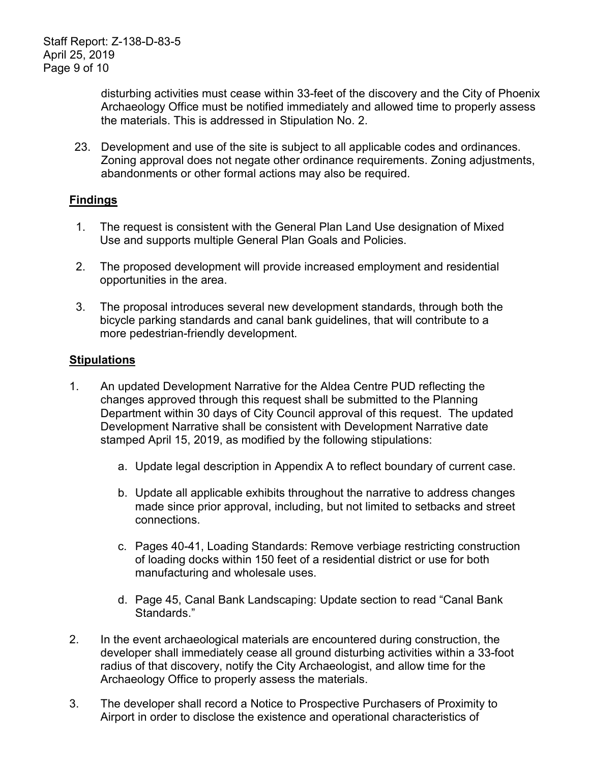disturbing activities must cease within 33-feet of the discovery and the City of Phoenix Archaeology Office must be notified immediately and allowed time to properly assess the materials. This is addressed in Stipulation No. 2.

23. Development and use of the site is subject to all applicable codes and ordinances. Zoning approval does not negate other ordinance requirements. Zoning adjustments, abandonments or other formal actions may also be required.

# **Findings**

- 1. The request is consistent with the General Plan Land Use designation of Mixed Use and supports multiple General Plan Goals and Policies.
- 2. The proposed development will provide increased employment and residential opportunities in the area.
- 3. The proposal introduces several new development standards, through both the bicycle parking standards and canal bank guidelines, that will contribute to a more pedestrian-friendly development.

# **Stipulations**

- 1. An updated Development Narrative for the Aldea Centre PUD reflecting the changes approved through this request shall be submitted to the Planning Department within 30 days of City Council approval of this request. The updated Development Narrative shall be consistent with Development Narrative date stamped April 15, 2019, as modified by the following stipulations:
	- a. Update legal description in Appendix A to reflect boundary of current case.
	- b. Update all applicable exhibits throughout the narrative to address changes made since prior approval, including, but not limited to setbacks and street connections.
	- c. Pages 40-41, Loading Standards: Remove verbiage restricting construction of loading docks within 150 feet of a residential district or use for both manufacturing and wholesale uses.
	- d. Page 45, Canal Bank Landscaping: Update section to read "Canal Bank Standards."
- 2. In the event archaeological materials are encountered during construction, the developer shall immediately cease all ground disturbing activities within a 33-foot radius of that discovery, notify the City Archaeologist, and allow time for the Archaeology Office to properly assess the materials.
- 3. The developer shall record a Notice to Prospective Purchasers of Proximity to Airport in order to disclose the existence and operational characteristics of